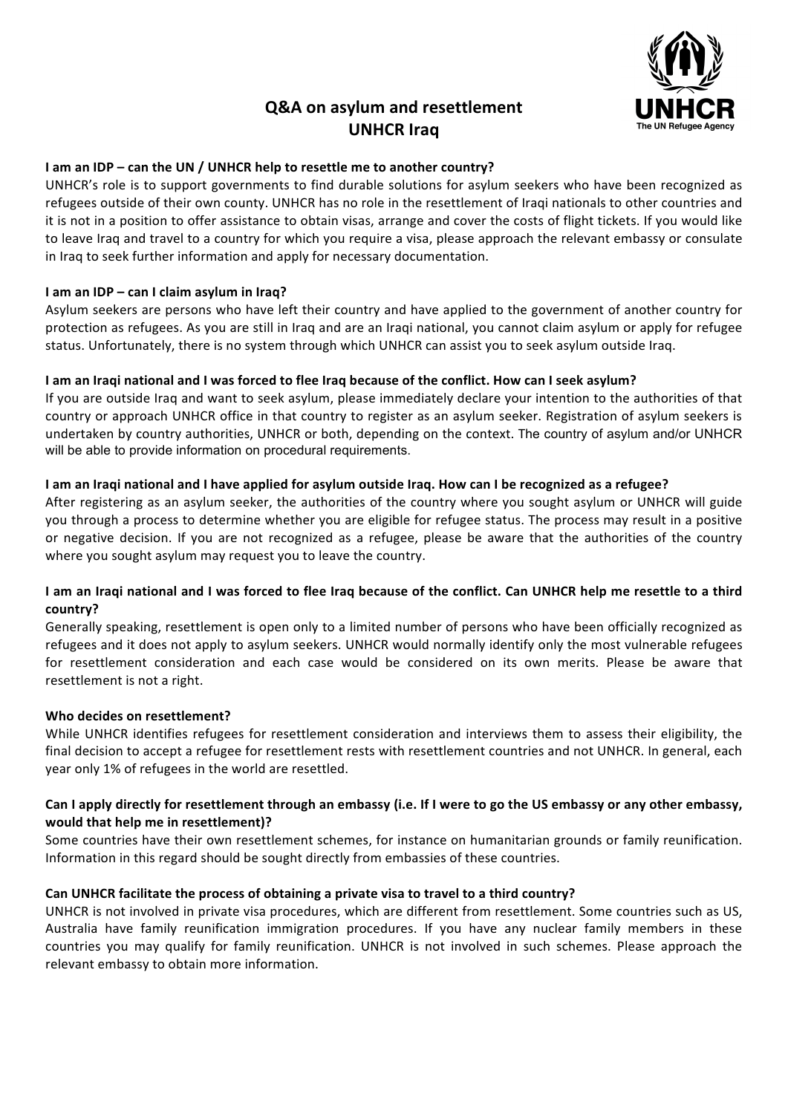# **Q&A on asylum and resettlement UNHCR Iraq**



## **I** am an IDP – can the UN / UNHCR help to resettle me to another country?

UNHCR's role is to support governments to find durable solutions for asylum seekers who have been recognized as refugees outside of their own county. UNHCR has no role in the resettlement of Iraqi nationals to other countries and it is not in a position to offer assistance to obtain visas, arrange and cover the costs of flight tickets. If you would like to leave Iraq and travel to a country for which you require a visa, please approach the relevant embassy or consulate in Iraq to seek further information and apply for necessary documentation.

#### **I** am an IDP – can I claim asylum in Iraq?

Asylum seekers are persons who have left their country and have applied to the government of another country for protection as refugees. As you are still in Iraq and are an Iraqi national, you cannot claim asylum or apply for refugee status. Unfortunately, there is no system through which UNHCR can assist you to seek asylum outside Iraq.

#### I am an Iraqi national and I was forced to flee Iraq because of the conflict. How can I seek asylum?

If you are outside Iraq and want to seek asylum, please immediately declare your intention to the authorities of that country or approach UNHCR office in that country to register as an asylum seeker. Registration of asylum seekers is undertaken by country authorities, UNHCR or both, depending on the context. The country of asylum and/or UNHCR will be able to provide information on procedural requirements.

#### I am an Iraqi national and I have applied for asylum outside Iraq. How can I be recognized as a refugee?

After registering as an asylum seeker, the authorities of the country where you sought asylum or UNHCR will guide you through a process to determine whether you are eligible for refugee status. The process may result in a positive or negative decision. If you are not recognized as a refugee, please be aware that the authorities of the country where you sought asylum may request you to leave the country.

## I am an Iraqi national and I was forced to flee Iraq because of the conflict. Can UNHCR help me resettle to a third country?

Generally speaking, resettlement is open only to a limited number of persons who have been officially recognized as refugees and it does not apply to asylum seekers. UNHCR would normally identify only the most vulnerable refugees for resettlement consideration and each case would be considered on its own merits. Please be aware that resettlement is not a right.

#### **Who decides on resettlement?**

While UNHCR identifies refugees for resettlement consideration and interviews them to assess their eligibility, the final decision to accept a refugee for resettlement rests with resettlement countries and not UNHCR. In general, each year only 1% of refugees in the world are resettled.

## Can I apply directly for resettlement through an embassy (i.e. If I were to go the US embassy or any other embassy, would that help me in resettlement)?

Some countries have their own resettlement schemes, for instance on humanitarian grounds or family reunification. Information in this regard should be sought directly from embassies of these countries.

#### Can UNHCR facilitate the process of obtaining a private visa to travel to a third country?

UNHCR is not involved in private visa procedures, which are different from resettlement. Some countries such as US, Australia have family reunification immigration procedures. If you have any nuclear family members in these countries you may qualify for family reunification. UNHCR is not involved in such schemes. Please approach the relevant embassy to obtain more information.